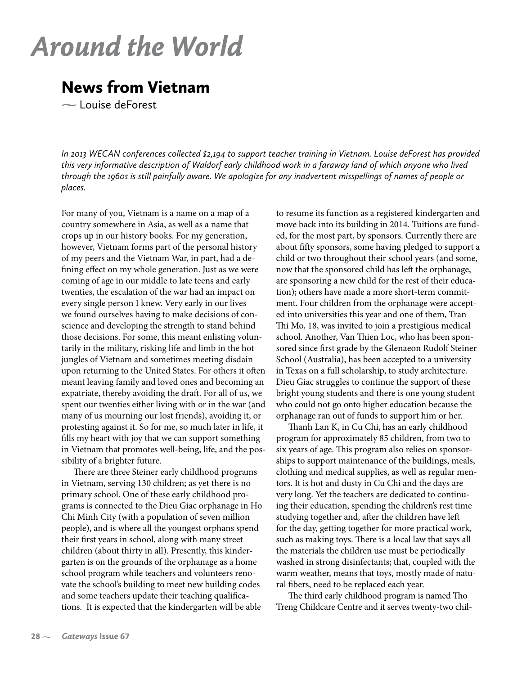## *Around the World*

## News from Vietnam

**-** Louise deForest

*In 2013 WECAN conferences collected \$2,194 to support teacher training in Vietnam. Louise deForest has provided this very informative description of Waldorf early childhood work in a faraway land of which anyone who lived through the 1960s is still painfully aware. We apologize for any inadvertent misspellings of names of people or places.*

For many of you, Vietnam is a name on a map of a country somewhere in Asia, as well as a name that crops up in our history books. For my generation, however, Vietnam forms part of the personal history of my peers and the Vietnam War, in part, had a defining effect on my whole generation. Just as we were coming of age in our middle to late teens and early twenties, the escalation of the war had an impact on every single person I knew. Very early in our lives we found ourselves having to make decisions of conscience and developing the strength to stand behind those decisions. For some, this meant enlisting voluntarily in the military, risking life and limb in the hot jungles of Vietnam and sometimes meeting disdain upon returning to the United States. For others it often meant leaving family and loved ones and becoming an expatriate, thereby avoiding the draft. For all of us, we spent our twenties either living with or in the war (and many of us mourning our lost friends), avoiding it, or protesting against it. So for me, so much later in life, it fills my heart with joy that we can support something in Vietnam that promotes well-being, life, and the possibility of a brighter future.

There are three Steiner early childhood programs in Vietnam, serving 130 children; as yet there is no primary school. One of these early childhood programs is connected to the Dieu Giac orphanage in Ho Chi Minh City (with a population of seven million people), and is where all the youngest orphans spend their first years in school, along with many street children (about thirty in all). Presently, this kindergarten is on the grounds of the orphanage as a home school program while teachers and volunteers renovate the school's building to meet new building codes and some teachers update their teaching qualifications. It is expected that the kindergarten will be able to resume its function as a registered kindergarten and move back into its building in 2014. Tuitions are funded, for the most part, by sponsors. Currently there are about fifty sponsors, some having pledged to support a child or two throughout their school years (and some, now that the sponsored child has left the orphanage, are sponsoring a new child for the rest of their education); others have made a more short-term commitment. Four children from the orphanage were accepted into universities this year and one of them, Tran Thi Mo, 18, was invited to join a prestigious medical school. Another, Van Thien Loc, who has been sponsored since first grade by the Glenaeon Rudolf Steiner School (Australia), has been accepted to a university in Texas on a full scholarship, to study architecture. Dieu Giac struggles to continue the support of these bright young students and there is one young student who could not go onto higher education because the orphanage ran out of funds to support him or her.

Thanh Lan K, in Cu Chi, has an early childhood program for approximately 85 children, from two to six years of age. This program also relies on sponsorships to support maintenance of the buildings, meals, clothing and medical supplies, as well as regular mentors. It is hot and dusty in Cu Chi and the days are very long. Yet the teachers are dedicated to continuing their education, spending the children's rest time studying together and, after the children have left for the day, getting together for more practical work, such as making toys. There is a local law that says all the materials the children use must be periodically washed in strong disinfectants; that, coupled with the warm weather, means that toys, mostly made of natural fibers, need to be replaced each year.

The third early childhood program is named Tho Treng Childcare Centre and it serves twenty-two chil